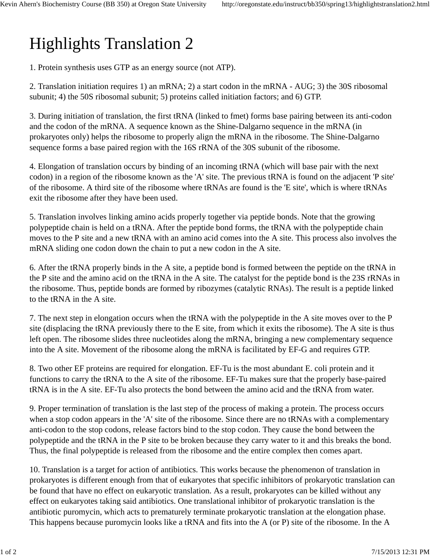## Highlights Translation 2

1. Protein synthesis uses GTP as an energy source (not ATP).

2. Translation initiation requires 1) an mRNA; 2) a start codon in the mRNA - AUG; 3) the 30S ribosomal subunit; 4) the 50S ribosomal subunit; 5) proteins called initiation factors; and 6) GTP.

3. During initiation of translation, the first tRNA (linked to fmet) forms base pairing between its anti-codon and the codon of the mRNA. A sequence known as the Shine-Dalgarno sequence in the mRNA (in prokaryotes only) helps the ribosome to properly align the mRNA in the ribosome. The Shine-Dalgarno sequence forms a base paired region with the 16S rRNA of the 30S subunit of the ribosome.

4. Elongation of translation occurs by binding of an incoming tRNA (which will base pair with the next codon) in a region of the ribosome known as the 'A' site. The previous tRNA is found on the adjacent 'P site' of the ribosome. A third site of the ribosome where tRNAs are found is the 'E site', which is where tRNAs exit the ribosome after they have been used.

5. Translation involves linking amino acids properly together via peptide bonds. Note that the growing polypeptide chain is held on a tRNA. After the peptide bond forms, the tRNA with the polypeptide chain moves to the P site and a new tRNA with an amino acid comes into the A site. This process also involves the mRNA sliding one codon down the chain to put a new codon in the A site.

6. After the tRNA properly binds in the A site, a peptide bond is formed between the peptide on the tRNA in the P site and the amino acid on the tRNA in the A site. The catalyst for the peptide bond is the 23S rRNAs in the ribosome. Thus, peptide bonds are formed by ribozymes (catalytic RNAs). The result is a peptide linked to the tRNA in the A site.

7. The next step in elongation occurs when the tRNA with the polypeptide in the A site moves over to the P site (displacing the tRNA previously there to the E site, from which it exits the ribosome). The A site is thus left open. The ribosome slides three nucleotides along the mRNA, bringing a new complementary sequence into the A site. Movement of the ribosome along the mRNA is facilitated by EF-G and requires GTP.

8. Two other EF proteins are required for elongation. EF-Tu is the most abundant E. coli protein and it functions to carry the tRNA to the A site of the ribosome. EF-Tu makes sure that the properly base-paired tRNA is in the A site. EF-Tu also protects the bond between the amino acid and the tRNA from water.

9. Proper termination of translation is the last step of the process of making a protein. The process occurs when a stop codon appears in the 'A' site of the ribosome. Since there are no tRNAs with a complementary anti-codon to the stop codons, release factors bind to the stop codon. They cause the bond between the polypeptide and the tRNA in the P site to be broken because they carry water to it and this breaks the bond. Thus, the final polypeptide is released from the ribosome and the entire complex then comes apart.

10. Translation is a target for action of antibiotics. This works because the phenomenon of translation in prokaryotes is different enough from that of eukaryotes that specific inhibitors of prokaryotic translation can be found that have no effect on eukaryotic translation. As a result, prokaryotes can be killed without any effect on eukaryotes taking said antibiotics. One translational inhibitor of prokaryotic translation is the antibiotic puromycin, which acts to prematurely terminate prokaryotic translation at the elongation phase. This happens because puromycin looks like a tRNA and fits into the A (or P) site of the ribosome. In the A